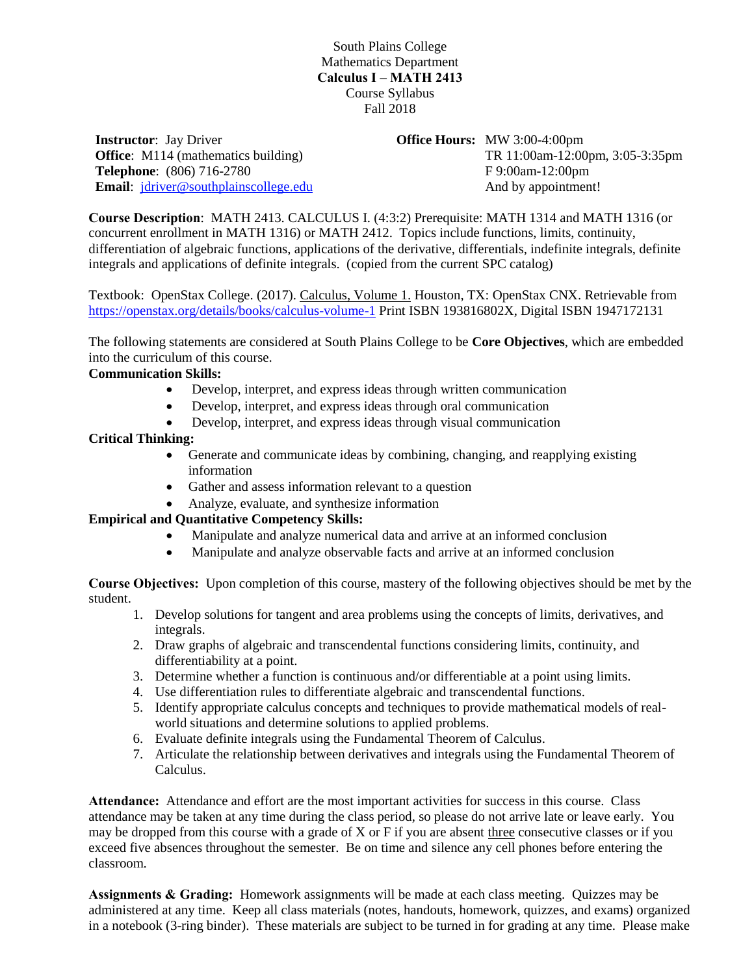South Plains College Mathematics Department **Calculus I – MATH 2413** Course Syllabus Fall 2018

**Instructor**: Jay Driver **Office:** M114 (mathematics building) **Telephone**: (806) 716-2780 **Email**: [jdriver@southplainscollege.edu](mailto:jdriver@southplainscollege.edu) **Office Hours:** MW 3:00-4:00pm TR 11:00am-12:00pm, 3:05-3:35pm F 9:00am-12:00pm And by appointment!

**Course Description**: MATH 2413. CALCULUS I. (4:3:2) Prerequisite: MATH 1314 and MATH 1316 (or concurrent enrollment in MATH 1316) or MATH 2412. Topics include functions, limits, continuity, differentiation of algebraic functions, applications of the derivative, differentials, indefinite integrals, definite integrals and applications of definite integrals. (copied from the current SPC catalog)

Textbook: OpenStax College. (2017). Calculus, Volume 1. Houston, TX: OpenStax CNX. Retrievable from <https://openstax.org/details/books/calculus-volume-1> Print ISBN 193816802X, Digital ISBN 1947172131

The following statements are considered at South Plains College to be **Core Objectives**, which are embedded into the curriculum of this course.

## **Communication Skills:**

- Develop, interpret, and express ideas through written communication
- Develop, interpret, and express ideas through oral communication
- Develop, interpret, and express ideas through visual communication

## **Critical Thinking:**

- Generate and communicate ideas by combining, changing, and reapplying existing information
- Gather and assess information relevant to a question
- Analyze, evaluate, and synthesize information

## **Empirical and Quantitative Competency Skills:**

- Manipulate and analyze numerical data and arrive at an informed conclusion
- Manipulate and analyze observable facts and arrive at an informed conclusion

**Course Objectives:** Upon completion of this course, mastery of the following objectives should be met by the student.

- 1. Develop solutions for tangent and area problems using the concepts of limits, derivatives, and integrals.
- 2. Draw graphs of algebraic and transcendental functions considering limits, continuity, and differentiability at a point.
- 3. Determine whether a function is continuous and/or differentiable at a point using limits.
- 4. Use differentiation rules to differentiate algebraic and transcendental functions.
- 5. Identify appropriate calculus concepts and techniques to provide mathematical models of realworld situations and determine solutions to applied problems.
- 6. Evaluate definite integrals using the Fundamental Theorem of Calculus.
- 7. Articulate the relationship between derivatives and integrals using the Fundamental Theorem of Calculus.

**Attendance:** Attendance and effort are the most important activities for success in this course. Class attendance may be taken at any time during the class period, so please do not arrive late or leave early. You may be dropped from this course with a grade of X or F if you are absent three consecutive classes or if you exceed five absences throughout the semester. Be on time and silence any cell phones before entering the classroom.

**Assignments & Grading:** Homework assignments will be made at each class meeting. Quizzes may be administered at any time. Keep all class materials (notes, handouts, homework, quizzes, and exams) organized in a notebook (3-ring binder). These materials are subject to be turned in for grading at any time. Please make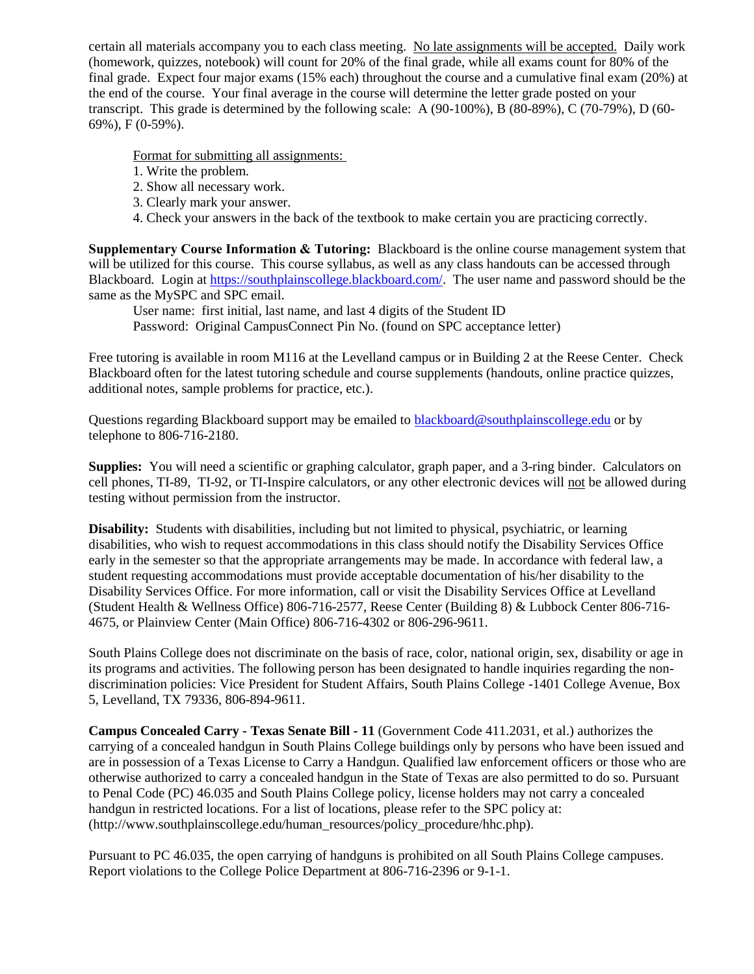certain all materials accompany you to each class meeting. No late assignments will be accepted. Daily work (homework, quizzes, notebook) will count for 20% of the final grade, while all exams count for 80% of the final grade. Expect four major exams (15% each) throughout the course and a cumulative final exam (20%) at the end of the course. Your final average in the course will determine the letter grade posted on your transcript. This grade is determined by the following scale: A (90-100%), B (80-89%), C (70-79%), D (60- 69%), F (0-59%).

Format for submitting all assignments:

- 1. Write the problem.
- 2. Show all necessary work.
- 3. Clearly mark your answer.
- 4. Check your answers in the back of the textbook to make certain you are practicing correctly.

**Supplementary Course Information & Tutoring:** Blackboard is the online course management system that will be utilized for this course. This course syllabus, as well as any class handouts can be accessed through Blackboard. Login at [https://southplainscollege.blackboard.com/.](https://southplainscollege.blackboard.com/) The user name and password should be the same as the MySPC and SPC email.

User name: first initial, last name, and last 4 digits of the Student ID

Password: Original CampusConnect Pin No. (found on SPC acceptance letter)

Free tutoring is available in room M116 at the Levelland campus or in Building 2 at the Reese Center. Check Blackboard often for the latest tutoring schedule and course supplements (handouts, online practice quizzes, additional notes, sample problems for practice, etc.).

Questions regarding Blackboard support may be emailed to **blackboard@southplainscollege.edu** or by telephone to 806-716-2180.

**Supplies:** You will need a scientific or graphing calculator, graph paper, and a 3-ring binder. Calculators on cell phones, TI-89, TI-92, or TI-Inspire calculators, or any other electronic devices will not be allowed during testing without permission from the instructor.

**Disability:** Students with disabilities, including but not limited to physical, psychiatric, or learning disabilities, who wish to request accommodations in this class should notify the Disability Services Office early in the semester so that the appropriate arrangements may be made. In accordance with federal law, a student requesting accommodations must provide acceptable documentation of his/her disability to the Disability Services Office. For more information, call or visit the Disability Services Office at Levelland (Student Health & Wellness Office) 806-716-2577, Reese Center (Building 8) & Lubbock Center 806-716- 4675, or Plainview Center (Main Office) 806-716-4302 or 806-296-9611.

South Plains College does not discriminate on the basis of race, color, national origin, sex, disability or age in its programs and activities. The following person has been designated to handle inquiries regarding the nondiscrimination policies: Vice President for Student Affairs, South Plains College -1401 College Avenue, Box 5, Levelland, TX 79336, 806-894-9611.

**Campus Concealed Carry - Texas Senate Bill - 11** (Government Code 411.2031, et al.) authorizes the carrying of a concealed handgun in South Plains College buildings only by persons who have been issued and are in possession of a Texas License to Carry a Handgun. Qualified law enforcement officers or those who are otherwise authorized to carry a concealed handgun in the State of Texas are also permitted to do so. Pursuant to Penal Code (PC) 46.035 and South Plains College policy, license holders may not carry a concealed handgun in restricted locations. For a list of locations, please refer to the SPC policy at: (http://www.southplainscollege.edu/human\_resources/policy\_procedure/hhc.php).

Pursuant to PC 46.035, the open carrying of handguns is prohibited on all South Plains College campuses. Report violations to the College Police Department at 806-716-2396 or 9-1-1.